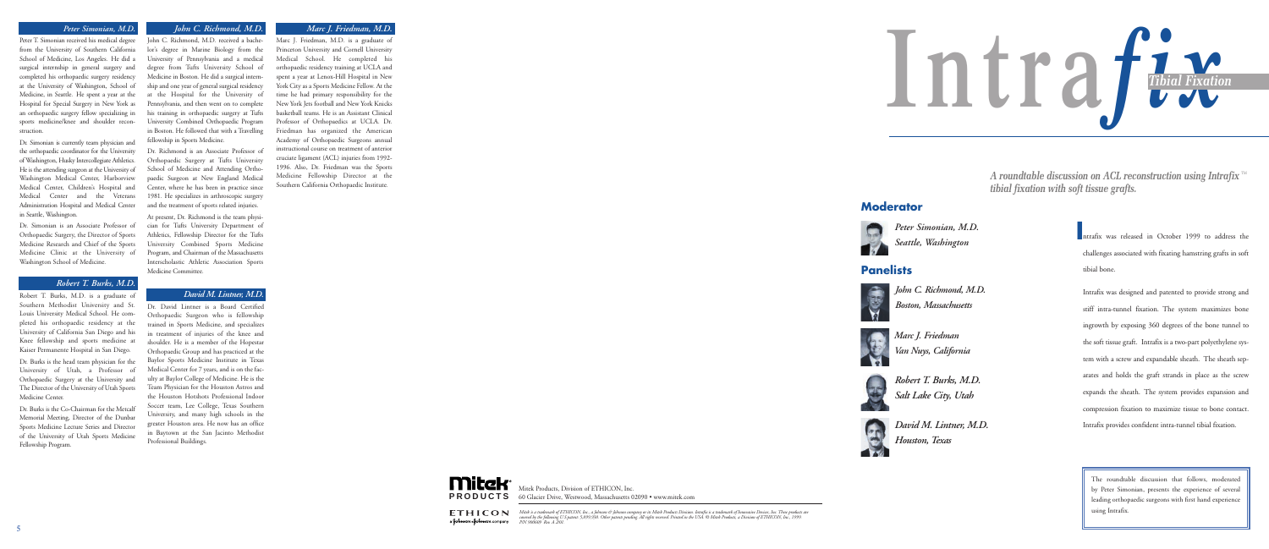ntrafix was released in October 1999 to address the **I** challenges associated with fixating hamstring grafts in soft tibial bone.

Intrafix was designed and patented to provide strong and stiff intra-tunnel fixation. The system maximizes bone ingrowth by exposing 360 degrees of the bone tunnel to the soft tissue graft. Intrafix is a two-part polyethylene system with a screw and expandable sheath. The sheath separates and holds the graft strands in place as the screw expands the sheath. The system provides expansion and compression fixation to maximize tissue to bone contact. Intrafix provides confident intra-tunnel tibial fixation.



*John C. Richmond, M.D. Boston, Massachusetts*



*Peter Simonian, M.D. Seattle, Washington*

*Marc J. Friedman Van Nuys, California*



*David M. Lintner, M.D. Houston, Texas*

Mitek Products, Division of ETHICON, Inc. **PRODUCTS** 60 Glacier Drive, Westwood, Massachusetts 02090 • www.mitek.com

**ETHICON** a **Johnron-Johnron** company

# *Marc J. Friedman, M.D.*

**Mitck** 

Marc J. Friedman, M.D. is a graduate of Princeton University and Cornell University Medical School. He completed his orthopaedic residency training at UCLA and spent a year at Lenox-Hill Hospital in New York City as a Sports Medicine Fellow. At the time he had primary responsibility for the New York Jets football and New York Knicks basketball teams. He is an Assistant Clinical Professor of Orthopaedics at UCLA. Dr. Friedman has organized the American Academy of Orthopaedic Surgeons annual instructional course on treatment of anterior cruciate ligament (ACL) injuries from 1992- 1996. Also, Dr. Friedman was the Sports Medicine Fellowship Director at the Southern California Orthopaedic Institute.

### *Peter Simonian, M.D.*

Peter T. Simonian received his medical degree from the University of Southern California School of Medicine, Los Angeles. He did a surgical internship in general surgery and completed his orthopaedic surgery residency at the University of Washington, School of Medicine, in Seattle. He spent a year at the Hospital for Special Surgery in New York as an orthopaedic surgery fellow specializing in sports medicine/knee and shoulder reconstruction.

Dr. Simonian is currently team physician and the orthopaedic coordinator for the University of Washington, Husky Intercollegiate Athletics. He is the attending surgeon at the University of Washington Medical Center, Harborview Medical Center, Children's Hospital and Medical Center and the Veterans Administration Hospital and Medical Center in Seattle, Washington.

*A roundtable discussion on ACL reconstruction using Intrafix* ™ *tibial fixation with soft tissue grafts.*

Dr. Simonian is an Associate Professor of Orthopaedic Surgery, the Director of Sports Medicine Research and Chief of the Sports Medicine Clinic at the University of Washington School of Medicine.

### *Robert T. Burks, M.D.*

Robert T. Burks, M.D. is a graduate of Southern Methodist University and St. Louis University Medical School. He completed his orthopaedic residency at the University of California San Diego and his Knee fellowship and sports medicine at Kaiser Permanente Hospital in San Diego.

Dr. Burks is the head team physician for the University of Utah, a Professor of Orthopaedic Surgery at the University and The Director of the University of Utah Sports Medicine Center.

Dr. Burks is the Co-Chairman for the Metcalf Memorial Meeting, Director of the Dunbar Sports Medicine Lecture Series and Director of the University of Utah Sports Medicine Fellowship Program.

### *John C. Richmond, M.D.*

John C. Richmond, M.D. received a bachelor's degree in Marine Biology from the University of Pennsylvania and a medical degree from Tufts University School of Medicine in Boston. He did a surgical internship and one year of general surgical residency at the Hospital for the University of Pennsylvania, and then went on to complete his training in orthopaedic surgery at Tufts University Combined Orthopaedic Program in Boston. He followed that with a Travelling fellowship in Sports Medicine.

Dr. Richmond is an Associate Professor of Orthopaedic Surgery at Tufts University School of Medicine and Attending Orthopaedic Surgeon at New England Medical Center, where he has been in practice since 1981. He specializes in arthroscopic surgery and the treatment of sports related injuries.

At present, Dr. Richmond is the team physician for Tufts University Department of Athletics, Fellowship Director for the Tufts University Combined Sports Medicine Program, and Chairman of the Massachusetts Interscholastic Athletic Association Sports Medicine Committee.

### *David M. Lintner, M.D.*

Dr. David Lintner is a Board Certified Orthopaedic Surgeon who is fellowship trained in Sports Medicine, and specializes in treatment of injuries of the knee and shoulder. He is a member of the Hopestar Orthopaedic Group and has practiced at the Baylor Sports Medicine Institute in Texas Medical Center for 7 years, and is on the faculty at Baylor College of Medicine. He is the Team Physician for the Houston Astros and the Houston Hotshots Professional Indoor Soccer team, Lee College, Texas Southern University, and many high schools in the greater Houston area. He now has an office in Baytown at the San Jacinto Methodist Professional Buildings.

> The roundtable discussion that follows, moderated by Peter Simonian, presents the experience of several leading orthopaedic surgeons with first hand experience using Intrafix.

Mitek is a trademark of ETHICON, Inc., a Johnson & Johnson company or its Mitek Products Division. Intrafix is a trademark of Innovasive Devices, Inc. These products are<br>covered by the following U.S.patent: 5,899,938. Othe



# **Moderator**



# **Panelists**